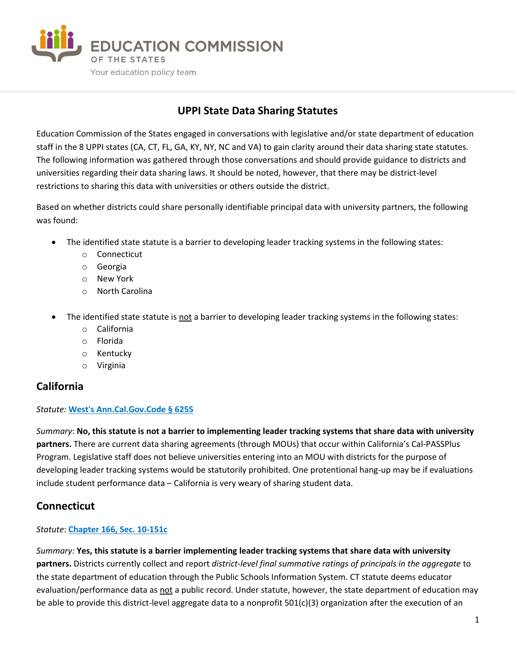

# **UPPI State Data Sharing Statutes**

Education Commission of the States engaged in conversations with legislative and/or state department of education staff in the 8 UPPI states (CA, CT, FL, GA, KY, NY, NC and VA) to gain clarity around their data sharing state statutes. The following information was gathered through those conversations and should provide guidance to districts and universities regarding their data sharing laws. It should be noted, however, that there may be district-level restrictions to sharing this data with universities or others outside the district.

Based on whether districts could share personally identifiable principal data with university partners, the following was found:

- The identified state statute is a barrier to developing leader tracking systems in the following states:
	- o Connecticut
	- o Georgia
	- o New York
	- o North Carolina
- The identified state statute is not a barrier to developing leader tracking systems in the following states:
	- o California
	- o Florida
	- o Kentucky
	- o Virginia

## **California**

#### *Statute:* **[West's Ann.Cal.Gov.Code § 6255](https://leginfo.legislature.ca.gov/faces/codes_displaySection.xhtml?lawCode=GOV§ionNum=6255.)**

*Summary*: **No, this statute is not a barrier to implementing leader tracking systems that share data with university partners.** There are current data sharing agreements (through MOUs) that occur within California's Cal-PASSPlus Program. Legislative staff does not believe universities entering into an MOU with districts for the purpose of developing leader tracking systems would be statutorily prohibited. One protentional hang-up may be if evaluations include student performance data – California is very weary of sharing student data.

## **Connecticut**

#### *Statute*: **[Chapter 166, Sec. 10-151c](https://www.cga.ct.gov/current/pub/chap_166.htm#sec_10-151c)**

*Summary:* **Yes, this statute is a barrier implementing leader tracking systems that share data with university partners.** Districts currently collect and report *district-level final summative ratings of principals in the aggregate* to the state department of education through the Public Schools Information System. CT statute deems educator evaluation/performance data as not a public record. Under statute, however, the state department of education may be able to provide this district-level aggregate data to a nonprofit 501(c)(3) organization after the execution of an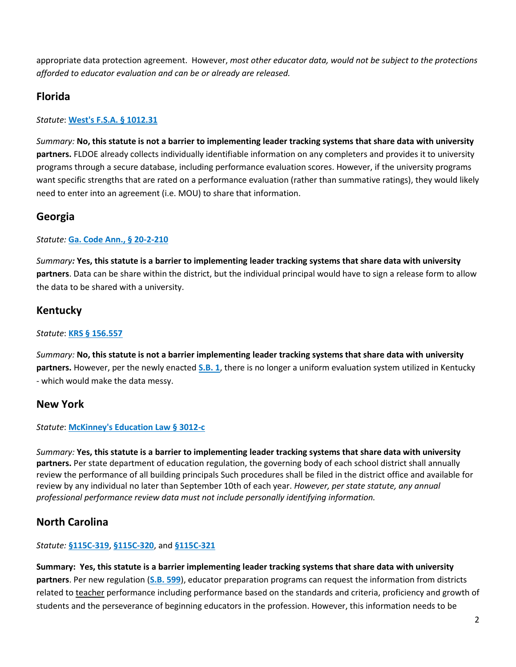appropriate data protection agreement. However, *most other educator data, would not be subject to the protections afforded to educator evaluation and can be or already are released.*

## **Florida**

#### *Statute*: **[West's F.S.A. § 1012.31](http://www.leg.state.fl.us/statutes/index.cfm?App_mode=Display_Statute&Search_String=&URL=1000-1099/1012/Sections/1012.31.html)**

*Summary:* **No, this statute is not a barrier to implementing leader tracking systems that share data with university partners.** FLDOE already collects individually identifiable information on any completers and provides it to university programs through a secure database, including performance evaluation scores. However, if the university programs want specific strengths that are rated on a performance evaluation (rather than summative ratings), they would likely need to enter into an agreement (i.e. MOU) to share that information.

## **Georgia**

#### *Statute:* **[Ga. Code Ann., § 20-2-210](http://law.justia.com/codes/georgia/2010/title-20/chapter-2/article-6/part-6/subpart-2/20-2-210)**

*Summary:* **Yes, this statute is a barrier to implementing leader tracking systems that share data with university partners**. Data can be share within the district, but the individual principal would have to sign a release form to allow the data to be shared with a university.

## **Kentucky**

*Statute*: **[KRS § 156.557](http://www.lrc.ky.gov/statutes/statute.aspx?id=42137)**

*Summary:* **No, this statute is not a barrier implementing leader tracking systems that share data with university partners.** However, per the newly enacted **[S.B. 1](http://www.lrc.ky.gov/recorddocuments/bill/17RS/SB1/orig_bill.pdf)**, there is no longer a uniform evaluation system utilized in Kentucky - which would make the data messy.

## **New York**

#### *Statute*: **[McKinney's Education Law § 3012-c](http://codes.findlaw.com/ny/education-law/edn-sect-3012-c.html)**

*Summary:* **Yes, this statute is a barrier to implementing leader tracking systems that share data with university partners.** Per state department of education regulation, the governing body of each school district shall annually review the performance of all building principals Such procedures shall be filed in the district office and available for review by any individual no later than September 10th of each year. *However, per state statute, any annual professional performance review data must not include personally identifying information.*

## **North Carolina**

#### *Statute:* **[§115C-319](http://www.ncleg.net/EnactedLegislation/Statutes/PDF/BySection/Chapter_115C/GS_115C-319.pdf)**, **[§115C-320](http://www.ncleg.net/EnactedLegislation/Statutes/PDF/BySection/Chapter_115C/GS_115C-320.pdf)**, and **[§115C-321](http://www.ncleg.net/EnactedLegislation/Statutes/PDF/BySection/Chapter_115C/GS_115C-321.pdf)**

**Summary: Yes, this statute is a barrier implementing leader tracking systems that share data with university partners**. Per new regulation (**[S.B. 599](http://www.ncleg.net/Sessions/2017/Bills/Senate/PDF/S599v7.pdf)**), educator preparation programs can request the information from districts related to teacher performance including performance based on the standards and criteria, proficiency and growth of students and the perseverance of beginning educators in the profession. However, this information needs to be